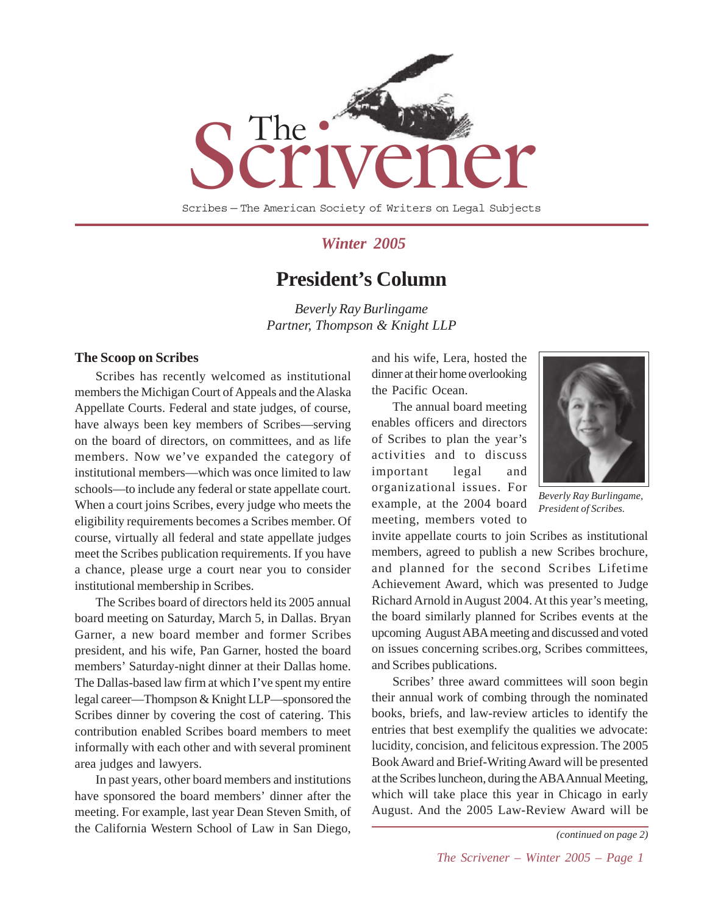

### *Winter 2005*

### **President's Column**

*Beverly Ray Burlingame Partner, Thompson & Knight LLP*

#### **The Scoop on Scribes**

Scribes has recently welcomed as institutional members the Michigan Court of Appeals and the Alaska Appellate Courts. Federal and state judges, of course, have always been key members of Scribes—serving on the board of directors, on committees, and as life members. Now we've expanded the category of institutional members—which was once limited to law schools—to include any federal or state appellate court. When a court joins Scribes, every judge who meets the eligibility requirements becomes a Scribes member. Of course, virtually all federal and state appellate judges meet the Scribes publication requirements. If you have a chance, please urge a court near you to consider institutional membership in Scribes.

The Scribes board of directors held its 2005 annual board meeting on Saturday, March 5, in Dallas. Bryan Garner, a new board member and former Scribes president, and his wife, Pan Garner, hosted the board members' Saturday-night dinner at their Dallas home. The Dallas-based law firm at which I've spent my entire legal career—Thompson & Knight LLP—sponsored the Scribes dinner by covering the cost of catering. This contribution enabled Scribes board members to meet informally with each other and with several prominent area judges and lawyers.

In past years, other board members and institutions have sponsored the board members' dinner after the meeting. For example, last year Dean Steven Smith, of the California Western School of Law in San Diego,

and his wife, Lera, hosted the dinner at their home overlooking the Pacific Ocean.

The annual board meeting enables officers and directors of Scribes to plan the year's activities and to discuss important legal and organizational issues. For example, at the 2004 board meeting, members voted to



*Beverly Ray Burlingame, President of Scribes.*

invite appellate courts to join Scribes as institutional members, agreed to publish a new Scribes brochure, and planned for the second Scribes Lifetime Achievement Award, which was presented to Judge Richard Arnold in August 2004. At this year's meeting, the board similarly planned for Scribes events at the upcoming August ABA meeting and discussed and voted on issues concerning scribes.org, Scribes committees, and Scribes publications.

Scribes' three award committees will soon begin their annual work of combing through the nominated books, briefs, and law-review articles to identify the entries that best exemplify the qualities we advocate: lucidity, concision, and felicitous expression. The 2005 Book Award and Brief-Writing Award will be presented at the Scribes luncheon, during the ABA Annual Meeting, which will take place this year in Chicago in early August. And the 2005 Law-Review Award will be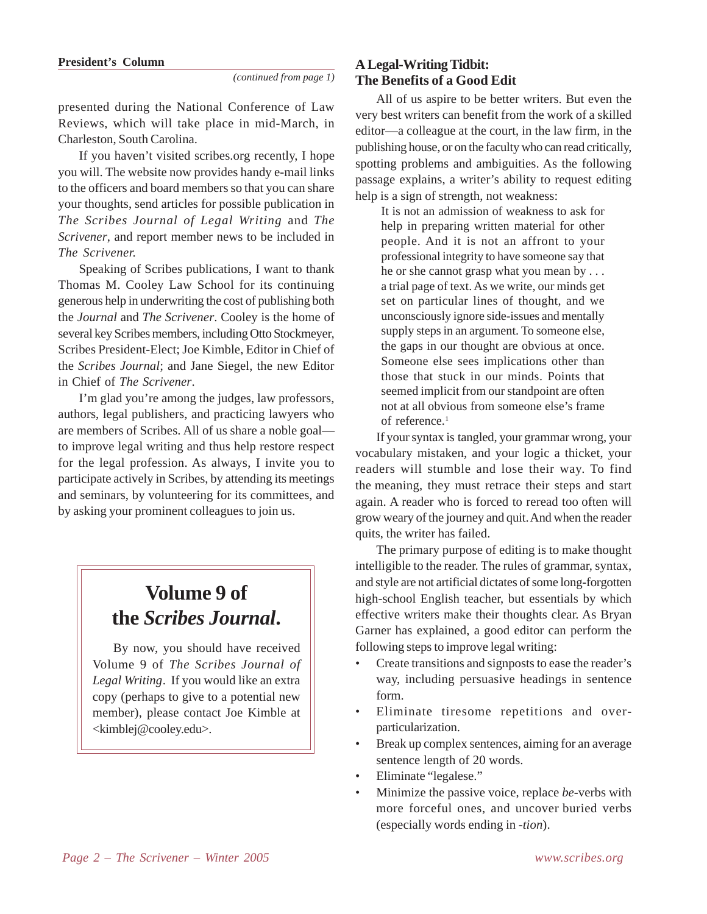presented during the National Conference of Law Reviews, which will take place in mid-March, in Charleston, South Carolina.

If you haven't visited scribes.org recently, I hope you will. The website now provides handy e-mail links to the officers and board members so that you can share your thoughts, send articles for possible publication in *The Scribes Journal of Legal Writing* and *The Scrivener*, and report member news to be included in *The Scrivener.*

Speaking of Scribes publications, I want to thank Thomas M. Cooley Law School for its continuing generous help in underwriting the cost of publishing both the *Journal* and *The Scrivener*. Cooley is the home of several key Scribes members, including Otto Stockmeyer, Scribes President-Elect; Joe Kimble, Editor in Chief of the *Scribes Journal*; and Jane Siegel, the new Editor in Chief of *The Scrivener*.

I'm glad you're among the judges, law professors, authors, legal publishers, and practicing lawyers who are members of Scribes. All of us share a noble goal to improve legal writing and thus help restore respect for the legal profession. As always, I invite you to participate actively in Scribes, by attending its meetings and seminars, by volunteering for its committees, and by asking your prominent colleagues to join us.

# **Volume 9 of the** *Scribes Journal***.**

By now, you should have received Volume 9 of *The Scribes Journal of Legal Writing*. If you would like an extra copy (perhaps to give to a potential new member), please contact Joe Kimble at <kimblej@cooley.edu>.

### **A Legal-Writing Tidbit: The Benefits of a Good Edit**

All of us aspire to be better writers. But even the very best writers can benefit from the work of a skilled editor—a colleague at the court, in the law firm, in the publishing house, or on the faculty who can read critically, spotting problems and ambiguities. As the following passage explains, a writer's ability to request editing help is a sign of strength, not weakness:

It is not an admission of weakness to ask for help in preparing written material for other people. And it is not an affront to your professional integrity to have someone say that he or she cannot grasp what you mean by . . . a trial page of text. As we write, our minds get set on particular lines of thought, and we unconsciously ignore side-issues and mentally supply steps in an argument. To someone else, the gaps in our thought are obvious at once. Someone else sees implications other than those that stuck in our minds. Points that seemed implicit from our standpoint are often not at all obvious from someone else's frame of reference.<sup>1</sup>

If your syntax is tangled, your grammar wrong, your vocabulary mistaken, and your logic a thicket, your readers will stumble and lose their way. To find the meaning, they must retrace their steps and start again. A reader who is forced to reread too often will grow weary of the journey and quit. And when the reader quits, the writer has failed.

The primary purpose of editing is to make thought intelligible to the reader. The rules of grammar, syntax, and style are not artificial dictates of some long-forgotten high-school English teacher, but essentials by which effective writers make their thoughts clear. As Bryan Garner has explained, a good editor can perform the following steps to improve legal writing:

- Create transitions and signposts to ease the reader's way, including persuasive headings in sentence form.
- Eliminate tiresome repetitions and overparticularization.
- Break up complex sentences, aiming for an average sentence length of 20 words.
- Eliminate "legalese."
- Minimize the passive voice, replace *be*-verbs with more forceful ones, and uncover buried verbs (especially words ending in *-tion*).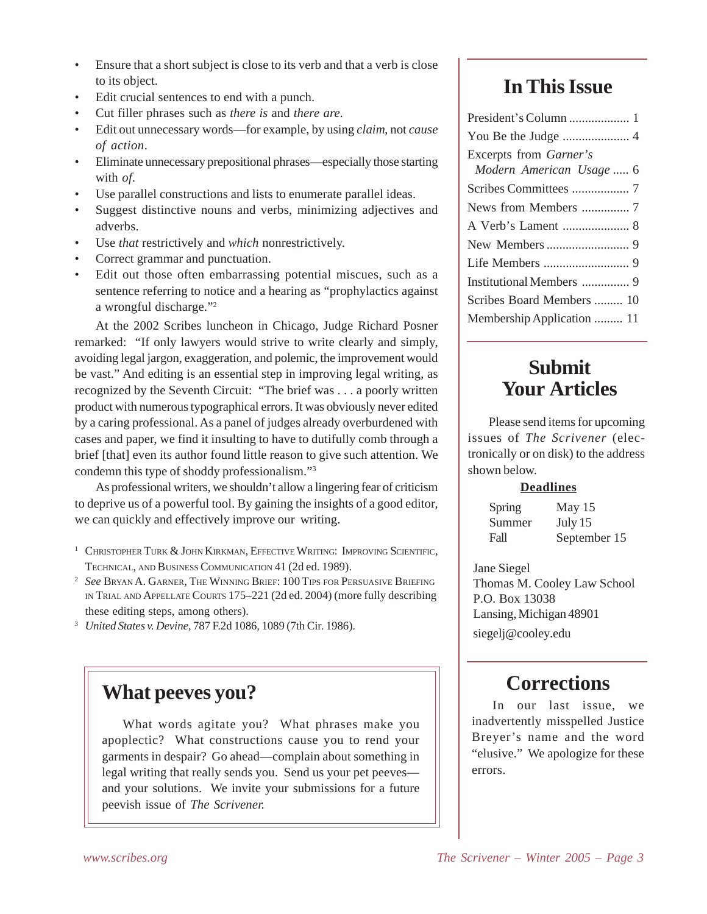- Ensure that a short subject is close to its verb and that a verb is close to its object.
- Edit crucial sentences to end with a punch.
- Cut filler phrases such as *there is* and *there are*.
- Edit out unnecessary words—for example, by using *claim*, not *cause of action*.
- Eliminate unnecessary prepositional phrases—especially those starting with *of*.
- Use parallel constructions and lists to enumerate parallel ideas.
- Suggest distinctive nouns and verbs, minimizing adjectives and adverbs.
- Use *that* restrictively and *which* nonrestrictively.
- Correct grammar and punctuation.
- Edit out those often embarrassing potential miscues, such as a sentence referring to notice and a hearing as "prophylactics against a wrongful discharge."2

At the 2002 Scribes luncheon in Chicago, Judge Richard Posner remarked: "If only lawyers would strive to write clearly and simply, avoiding legal jargon, exaggeration, and polemic, the improvement would be vast." And editing is an essential step in improving legal writing, as recognized by the Seventh Circuit: "The brief was . . . a poorly written product with numerous typographical errors. It was obviously never edited by a caring professional. As a panel of judges already overburdened with cases and paper, we find it insulting to have to dutifully comb through a brief [that] even its author found little reason to give such attention. We condemn this type of shoddy professionalism."3

As professional writers, we shouldn't allow a lingering fear of criticism to deprive us of a powerful tool. By gaining the insights of a good editor, we can quickly and effectively improve our writing.

<sup>3</sup> *United States v. Devine*, 787 F.2d 1086, 1089 (7th Cir. 1986).

# **What peeves you?**

What words agitate you? What phrases make you apoplectic? What constructions cause you to rend your garments in despair? Go ahead—complain about something in legal writing that really sends you. Send us your pet peeves and your solutions. We invite your submissions for a future peevish issue of *The Scrivener.*

# **In This Issue**

| Excerpts from Garner's     |
|----------------------------|
| Modern American Usage  6   |
|                            |
| News from Members  7       |
|                            |
|                            |
|                            |
| Institutional Members  9   |
| Scribes Board Members  10  |
| Membership Application  11 |

# **Submit Your Articles**

Please send items for upcoming issues of *The Scrivener* (electronically or on disk) to the address shown below.

### **Deadlines**

| Spring | May $15$     |
|--------|--------------|
| Summer | July 15      |
| Fall   | September 15 |

Jane Siegel Thomas M. Cooley Law School P.O. Box 13038 Lansing, Michigan 48901 siegelj@cooley.edu

# **Corrections**

In our last issue, we inadvertently misspelled Justice Breyer's name and the word "elusive." We apologize for these errors.

<sup>&</sup>lt;sup>1</sup> CHRISTOPHER TURK & JOHN KIRKMAN, EFFECTIVE WRITING: IMPROVING SCIENTIFIC, TECHNICAL, AND BUSINESS COMMUNICATION 41 (2d ed. 1989).

<sup>2</sup> *See* BRYAN A. GARNER, THE WINNING BRIEF: 100 TIPS FOR PERSUASIVE BRIEFING IN TRIAL AND APPELLATE COURTS 175–221 (2d ed. 2004) (more fully describing these editing steps, among others).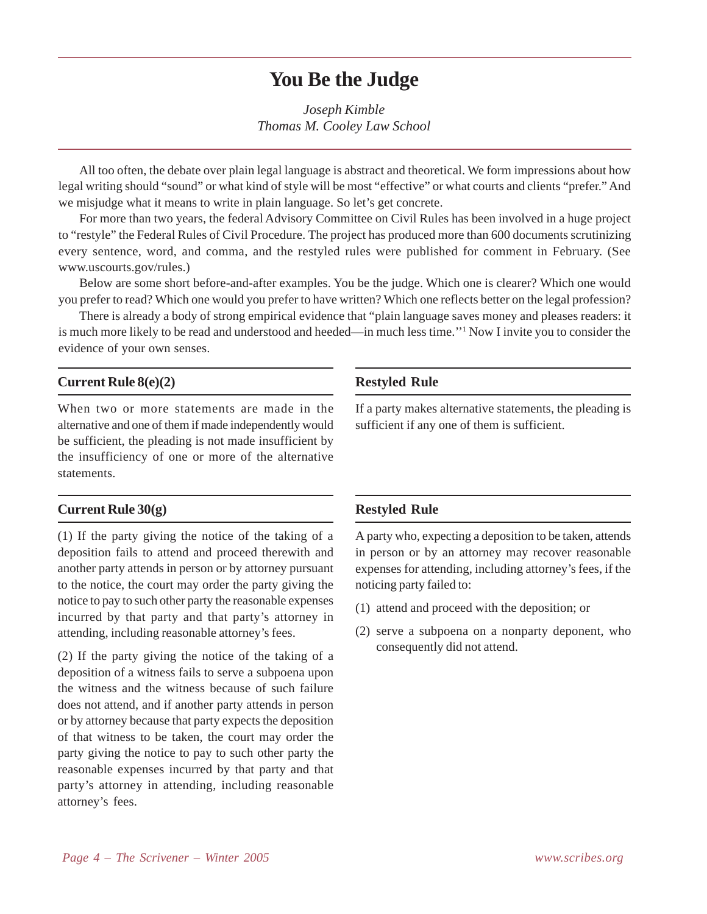### **You Be the Judge**

*Joseph Kimble Thomas M. Cooley Law School*

All too often, the debate over plain legal language is abstract and theoretical. We form impressions about how legal writing should "sound" or what kind of style will be most "effective" or what courts and clients "prefer." And we misjudge what it means to write in plain language. So let's get concrete.

For more than two years, the federal Advisory Committee on Civil Rules has been involved in a huge project to "restyle" the Federal Rules of Civil Procedure. The project has produced more than 600 documents scrutinizing every sentence, word, and comma, and the restyled rules were published for comment in February. (See www.uscourts.gov/rules.)

Below are some short before-and-after examples. You be the judge. Which one is clearer? Which one would you prefer to read? Which one would you prefer to have written? Which one reflects better on the legal profession?

There is already a body of strong empirical evidence that "plain language saves money and pleases readers: it is much more likely to be read and understood and heeded—in much less time.''1 Now I invite you to consider the evidence of your own senses.

### **Current Rule 8(e)(2)**

When two or more statements are made in the alternative and one of them if made independently would be sufficient, the pleading is not made insufficient by the insufficiency of one or more of the alternative statements.

#### **Current Rule 30(g)**

(1) If the party giving the notice of the taking of a deposition fails to attend and proceed therewith and another party attends in person or by attorney pursuant to the notice, the court may order the party giving the notice to pay to such other party the reasonable expenses incurred by that party and that party's attorney in attending, including reasonable attorney's fees.

(2) If the party giving the notice of the taking of a deposition of a witness fails to serve a subpoena upon the witness and the witness because of such failure does not attend, and if another party attends in person or by attorney because that party expects the deposition of that witness to be taken, the court may order the party giving the notice to pay to such other party the reasonable expenses incurred by that party and that party's attorney in attending, including reasonable attorney's fees.

#### **Restyled Rule**

If a party makes alternative statements, the pleading is sufficient if any one of them is sufficient.

#### **Restyled Rule**

A party who, expecting a deposition to be taken, attends in person or by an attorney may recover reasonable expenses for attending, including attorney's fees, if the noticing party failed to:

- (1) attend and proceed with the deposition; or
- (2) serve a subpoena on a nonparty deponent, who consequently did not attend.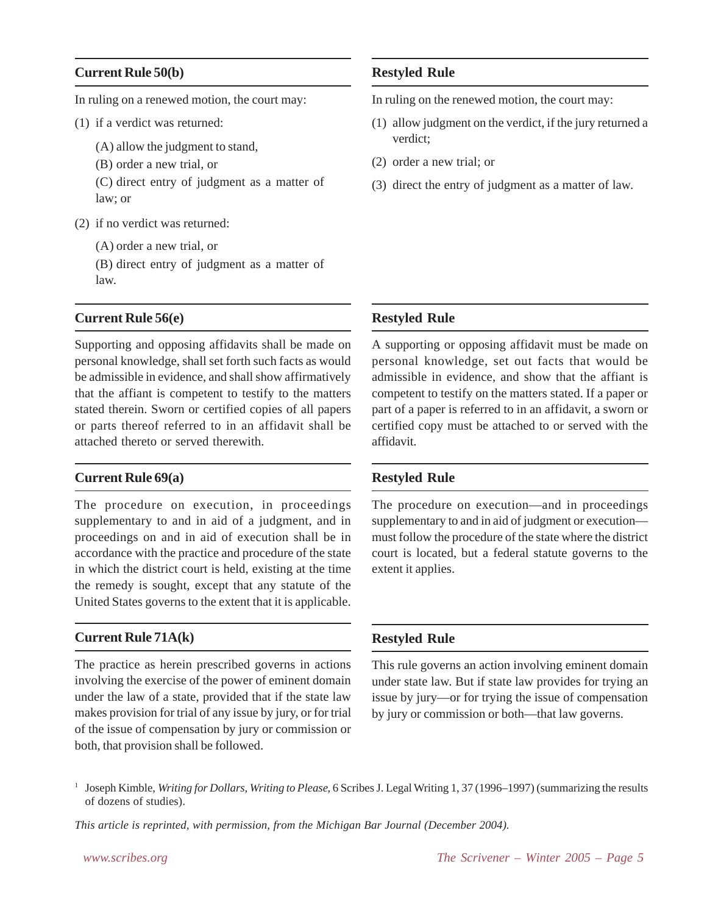### **Current Rule 50(b)**

In ruling on a renewed motion, the court may:

- (1) if a verdict was returned:
	- (A) allow the judgment to stand,
	- (B) order a new trial, or
	- (C) direct entry of judgment as a matter of law; or
- (2) if no verdict was returned:
	- (A) order a new trial, or
	- (B) direct entry of judgment as a matter of law.

#### **Current Rule 56(e)**

Supporting and opposing affidavits shall be made on personal knowledge, shall set forth such facts as would be admissible in evidence, and shall show affirmatively that the affiant is competent to testify to the matters stated therein. Sworn or certified copies of all papers or parts thereof referred to in an affidavit shall be attached thereto or served therewith.

#### **Current Rule 69(a)**

The procedure on execution, in proceedings supplementary to and in aid of a judgment, and in proceedings on and in aid of execution shall be in accordance with the practice and procedure of the state in which the district court is held, existing at the time the remedy is sought, except that any statute of the United States governs to the extent that it is applicable.

### **Current Rule 71A(k)**

The practice as herein prescribed governs in actions involving the exercise of the power of eminent domain under the law of a state, provided that if the state law makes provision for trial of any issue by jury, or for trial of the issue of compensation by jury or commission or both, that provision shall be followed.

### **Restyled Rule**

In ruling on the renewed motion, the court may:

- (1) allow judgment on the verdict, if the jury returned a verdict;
- (2) order a new trial; or
- (3) direct the entry of judgment as a matter of law.

#### **Restyled Rule**

A supporting or opposing affidavit must be made on personal knowledge, set out facts that would be admissible in evidence, and show that the affiant is competent to testify on the matters stated. If a paper or part of a paper is referred to in an affidavit, a sworn or certified copy must be attached to or served with the affidavit.

### **Restyled Rule**

The procedure on execution—and in proceedings supplementary to and in aid of judgment or execution must follow the procedure of the state where the district court is located, but a federal statute governs to the extent it applies.

### **Restyled Rule**

This rule governs an action involving eminent domain under state law. But if state law provides for trying an issue by jury—or for trying the issue of compensation by jury or commission or both—that law governs.

<sup>1</sup> Joseph Kimble, *Writing for Dollars, Writing to Please*, 6 Scribes J. Legal Writing 1, 37 (1996–1997) (summarizing the results of dozens of studies).

*This article is reprinted, with permission, from the Michigan Bar Journal (December 2004).*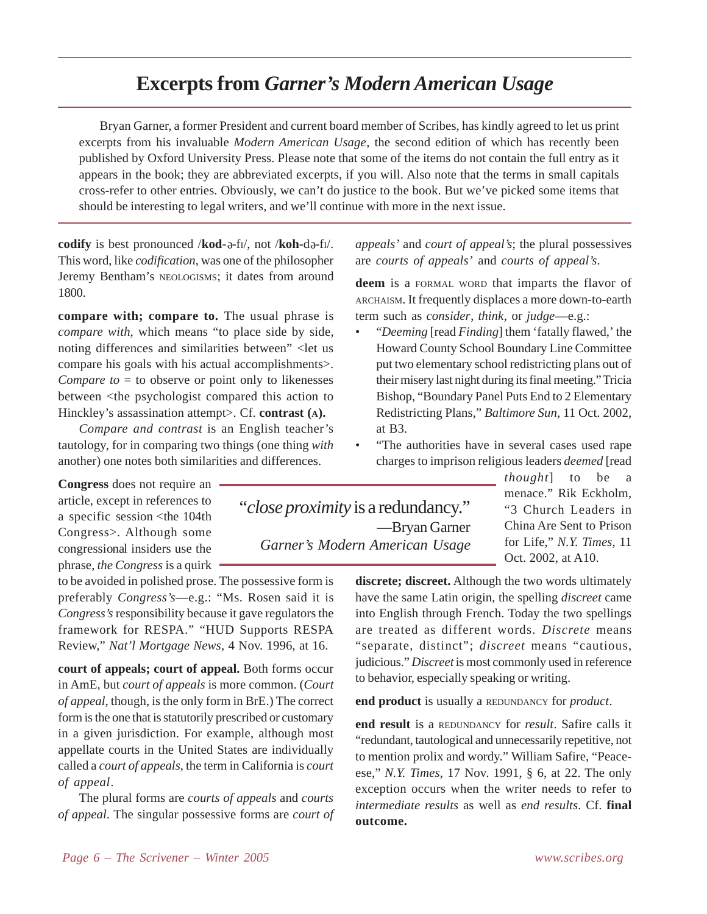# **Excerpts from** *Garner's Modern American Usage*

Bryan Garner, a former President and current board member of Scribes, has kindly agreed to let us print excerpts from his invaluable *Modern American Usage*, the second edition of which has recently been published by Oxford University Press. Please note that some of the items do not contain the full entry as it appears in the book; they are abbreviated excerpts, if you will. Also note that the terms in small capitals cross-refer to other entries. Obviously, we can't do justice to the book. But we've picked some items that should be interesting to legal writers, and we'll continue with more in the next issue.

codify is best pronounced /kod-a-fi/, not /koh-da-fi/. This word, like *codification*, was one of the philosopher Jeremy Bentham's NEOLOGISMS; it dates from around 1800.

**compare with; compare to.** The usual phrase is *compare with*, which means "to place side by side, noting differences and similarities between" <let us compare his goals with his actual accomplishments>. *Compare to*  $=$  to observe or point only to likenesses between <the psychologist compared this action to Hinckley's assassination attempt>. Cf. **contrast (A).**

*Compare and contrast* is an English teacher's tautology, for in comparing two things (one thing *with* another) one notes both similarities and differences.

**Congress** does not require an article, except in references to a specific session <the 104th Congress>. Although some congressional insiders use the phrase, *the Congress* is a quirk

to be avoided in polished prose. The possessive form is preferably *Congress's*—e.g.: "Ms. Rosen said it is *Congress's* responsibility because it gave regulators the framework for RESPA." "HUD Supports RESPA Review," *Nat'l Mortgage News*, 4 Nov. 1996, at 16.

**court of appeals; court of appeal.** Both forms occur in AmE, but *court of appeals* is more common. (*Court of appeal*, though, is the only form in BrE.) The correct form is the one that is statutorily prescribed or customary in a given jurisdiction. For example, although most appellate courts in the United States are individually called a *court of appeals*, the term in California is *court of appeal*.

The plural forms are *courts of appeals* and *courts of appeal*. The singular possessive forms are *court of* *appeals'* and *court of appeal's*; the plural possessives are *courts of appeals'* and *courts of appeal's*.

**deem** is a FORMAL WORD that imparts the flavor of ARCHAISM. It frequently displaces a more down-to-earth term such as *consider*, *think*, or *judge*—e.g.:

- "*Deeming* [read *Finding*] them 'fatally flawed,' the Howard County School Boundary Line Committee put two elementary school redistricting plans out of their misery last night during its final meeting." Tricia Bishop, "Boundary Panel Puts End to 2 Elementary Redistricting Plans," *Baltimore Sun*, 11 Oct. 2002, at B3.
- "The authorities have in several cases used rape charges to imprison religious leaders *deemed* [read

"*close proximity* is a redundancy." —Bryan Garner *Garner's Modern American Usage* *thought*] to be a menace." Rik Eckholm, "3 Church Leaders in China Are Sent to Prison for Life," *N.Y. Times*, 11 Oct. 2002, at A10.

**discrete; discreet.** Although the two words ultimately have the same Latin origin, the spelling *discreet* came into English through French. Today the two spellings are treated as different words. *Discrete* means "separate, distinct"; *discreet* means "cautious, judicious." *Discreet* is most commonly used in reference to behavior, especially speaking or writing.

**end product** is usually a REDUNDANCY for *product*.

**end result** is a REDUNDANCY for *result*. Safire calls it "redundant, tautological and unnecessarily repetitive, not to mention prolix and wordy." William Safire, "Peaceese," *N.Y. Times*, 17 Nov. 1991, § 6, at 22. The only exception occurs when the writer needs to refer to *intermediate results* as well as *end results*. Cf. **final outcome.**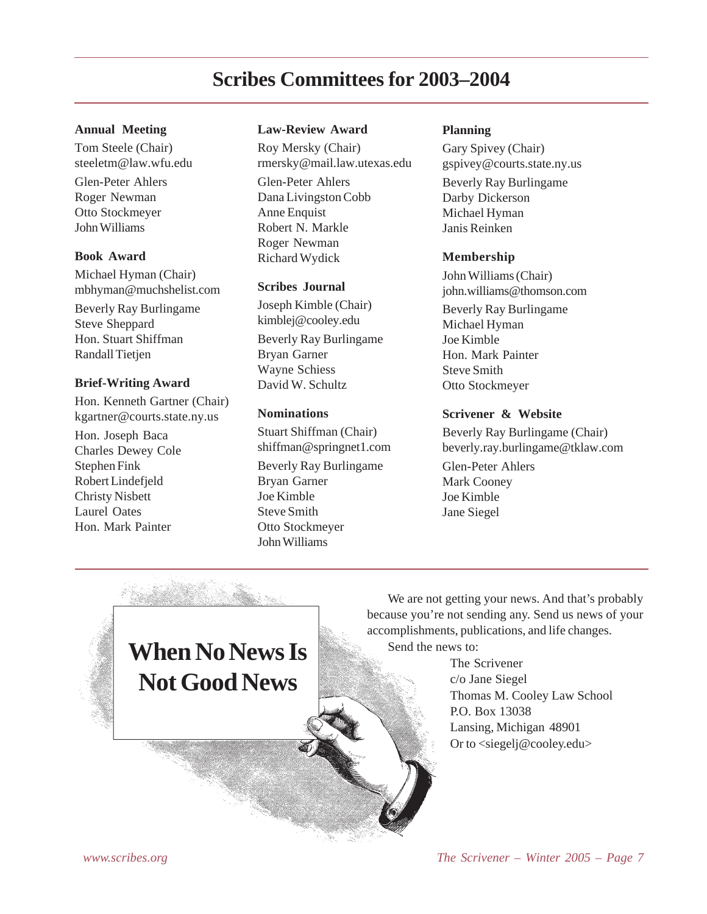# **Scribes Committees for 2003–2004**

#### **Annual Meeting**

Tom Steele (Chair) steeletm@law.wfu.edu Glen-Peter Ahlers Roger Newman Otto Stockmeyer John Williams

#### **Book Award**

Michael Hyman (Chair) mbhyman@muchshelist.com Beverly Ray Burlingame Steve Sheppard Hon. Stuart Shiffman Randall Tietien

#### **Brief-Writing Award**

Hon. Kenneth Gartner (Chair) kgartner@courts.state.ny.us

Hon. Joseph Baca Charles Dewey Cole Stephen Fink Robert Lindefjeld Christy Nisbett Laurel Oates Hon. Mark Painter

#### **Law-Review Award**

Roy Mersky (Chair) rmersky@mail.law.utexas.edu Glen-Peter Ahlers Dana Livingston Cobb Anne Enquist Robert N. Markle Roger Newman Richard Wydick

#### **Scribes Journal**

Joseph Kimble (Chair) kimblej@cooley.edu Beverly Ray Burlingame Bryan Garner Wayne Schiess David W. Schultz

### **Nominations**

Stuart Shiffman (Chair) shiffman@springnet1.com Beverly Ray Burlingame Bryan Garner Joe Kimble Steve Smith Otto Stockmeyer John Williams

#### **Planning**

Gary Spivey (Chair) gspivey@courts.state.ny.us

Beverly Ray Burlingame Darby Dickerson Michael Hyman Janis Reinken

#### **Membership**

John Williams (Chair) john.williams@thomson.com

Beverly Ray Burlingame Michael Hyman Joe Kimble Hon. Mark Painter Steve Smith Otto Stockmeyer

#### **Scrivener & Website**

Beverly Ray Burlingame (Chair) beverly.ray.burlingame@tklaw.com

Glen-Peter Ahlers Mark Cooney Joe Kimble Jane Siegel

# **When No News Is Not Good News**

We are not getting your news. And that's probably because you're not sending any. Send us news of your accomplishments, publications, and life changes.

Send the news to:

The Scrivener c/o Jane Siegel Thomas M. Cooley Law School P.O. Box 13038 Lansing, Michigan 48901 Or to <siegelj@cooley.edu>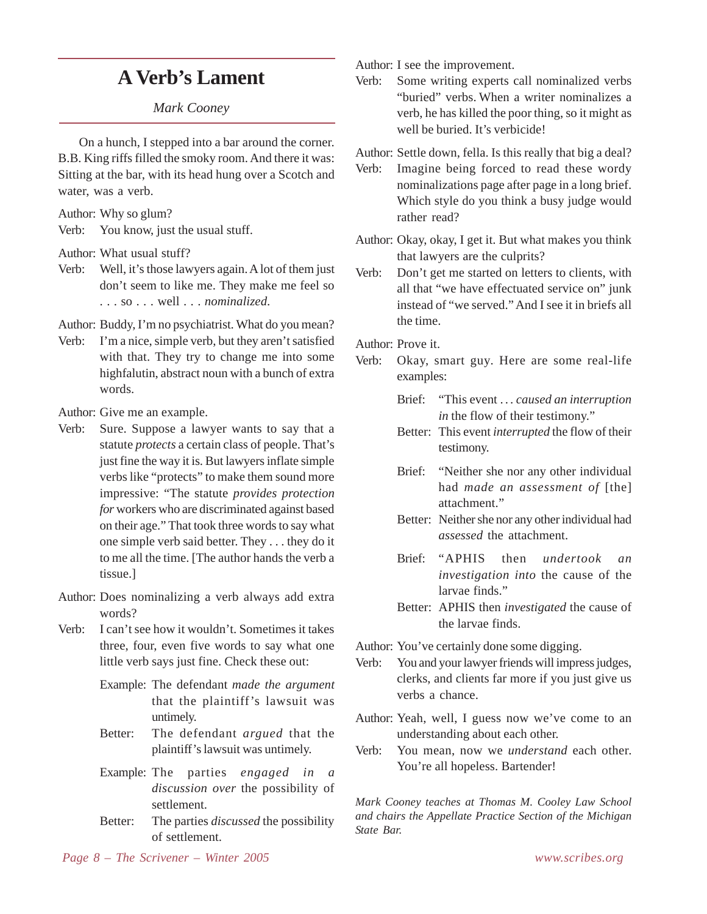# **A Verb's Lament**

### *Mark Cooney*

On a hunch, I stepped into a bar around the corner. B.B. King riffs filled the smoky room. And there it was: Sitting at the bar, with its head hung over a Scotch and water, was a verb.

Author: Why so glum?

Verb: You know, just the usual stuff.

Author: What usual stuff?

- Verb: Well, it's those lawyers again. A lot of them just don't seem to like me. They make me feel so . . . so . . . well . . . *nominalized*.
- Author: Buddy, I'm no psychiatrist. What do you mean?
- Verb: I'm a nice, simple verb, but they aren't satisfied with that. They try to change me into some highfalutin, abstract noun with a bunch of extra words.

Author: Give me an example.

- Verb: Sure. Suppose a lawyer wants to say that a statute *protects* a certain class of people. That's just fine the way it is. But lawyers inflate simple verbs like "protects" to make them sound more impressive: "The statute *provides protection for* workers who are discriminated against based on their age." That took three words to say what one simple verb said better. They . . . they do it to me all the time. [The author hands the verb a tissue.]
- Author: Does nominalizing a verb always add extra words?
- Verb: I can't see how it wouldn't. Sometimes it takes three, four, even five words to say what one little verb says just fine. Check these out:
	- Example: The defendant *made the argument* that the plaintiff's lawsuit was untimely.
	- Better: The defendant *argued* that the plaintiff's lawsuit was untimely.
	- Example: The parties *engaged in a discussion over* the possibility of settlement.
	- Better: The parties *discussed* the possibility of settlement.

Author: I see the improvement.

Verb: Some writing experts call nominalized verbs "buried" verbs. When a writer nominalizes a verb, he has killed the poor thing, so it might as well be buried. It's verbicide!

Author: Settle down, fella. Is this really that big a deal?

- Verb: Imagine being forced to read these wordy nominalizations page after page in a long brief. Which style do you think a busy judge would rather read?
- Author: Okay, okay, I get it. But what makes you think that lawyers are the culprits?
- Verb: Don't get me started on letters to clients, with all that "we have effectuated service on" junk instead of "we served." And I see it in briefs all the time.

Author: Prove it.

- Verb: Okay, smart guy. Here are some real-life examples:
	- Brief: "This event . . . *caused an interruption in* the flow of their testimony."
	- Better: This event *interrupted* the flow of their testimony.
	- Brief: "Neither she nor any other individual had *made an assessment of* [the] attachment."
	- Better: Neither she nor any other individual had *assessed* the attachment.
	- Brief: "APHIS then *undertook an investigation into* the cause of the larvae finds."
	- Better: APHIS then *investigated* the cause of the larvae finds.

Author: You've certainly done some digging.

- Verb: You and your lawyer friends will impress judges, clerks, and clients far more if you just give us verbs a chance.
- Author: Yeah, well, I guess now we've come to an understanding about each other.
- Verb: You mean, now we *understand* each other. You're all hopeless. Bartender!

*Mark Cooney teaches at Thomas M. Cooley Law School and chairs the Appellate Practice Section of the Michigan State Bar.*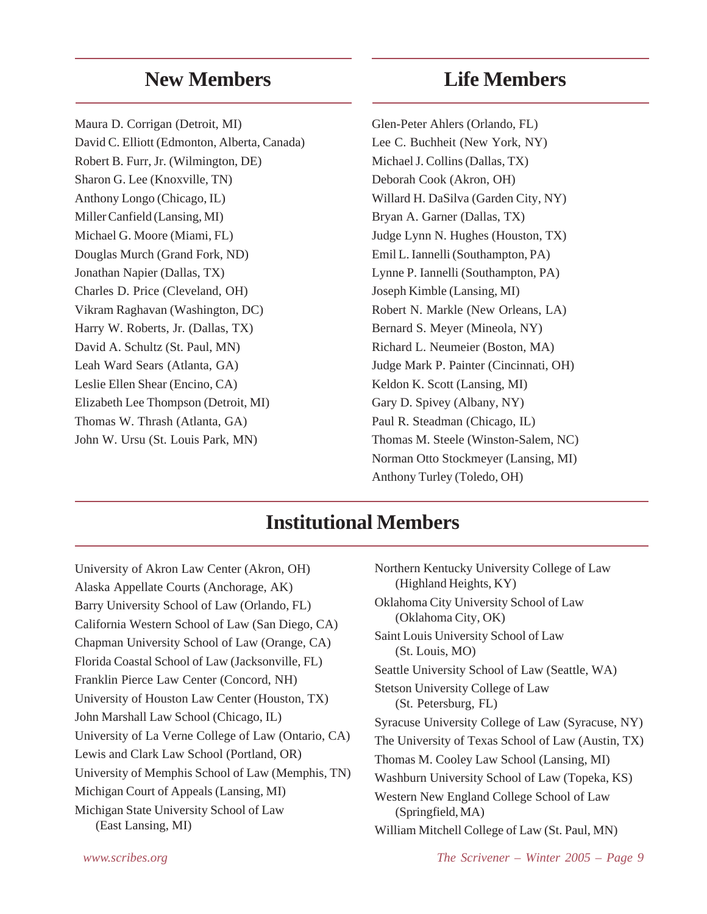# **New Members**

Maura D. Corrigan (Detroit, MI) David C. Elliott (Edmonton, Alberta, Canada) Robert B. Furr, Jr. (Wilmington, DE) Sharon G. Lee (Knoxville, TN) Anthony Longo (Chicago, IL) Miller Canfield (Lansing, MI) Michael G. Moore (Miami, FL) Douglas Murch (Grand Fork, ND) Jonathan Napier (Dallas, TX) Charles D. Price (Cleveland, OH) Vikram Raghavan (Washington, DC) Harry W. Roberts, Jr. (Dallas, TX) David A. Schultz (St. Paul, MN) Leah Ward Sears (Atlanta, GA) Leslie Ellen Shear (Encino, CA) Elizabeth Lee Thompson (Detroit, MI) Thomas W. Thrash (Atlanta, GA) John W. Ursu (St. Louis Park, MN)

### **Life Members**

Glen-Peter Ahlers (Orlando, FL) Lee C. Buchheit (New York, NY) Michael J. Collins (Dallas, TX) Deborah Cook (Akron, OH) Willard H. DaSilva (Garden City, NY) Bryan A. Garner (Dallas, TX) Judge Lynn N. Hughes (Houston, TX) Emil L. Iannelli (Southampton, PA) Lynne P. Iannelli (Southampton, PA) Joseph Kimble (Lansing, MI) Robert N. Markle (New Orleans, LA) Bernard S. Meyer (Mineola, NY) Richard L. Neumeier (Boston, MA) Judge Mark P. Painter (Cincinnati, OH) Keldon K. Scott (Lansing, MI) Gary D. Spivey (Albany, NY) Paul R. Steadman (Chicago, IL) Thomas M. Steele (Winston-Salem, NC) Norman Otto Stockmeyer (Lansing, MI) Anthony Turley (Toledo, OH)

# **Institutional Members**

University of Akron Law Center (Akron, OH) Alaska Appellate Courts (Anchorage, AK) Barry University School of Law (Orlando, FL) California Western School of Law (San Diego, CA) Chapman University School of Law (Orange, CA) Florida Coastal School of Law (Jacksonville, FL) Franklin Pierce Law Center (Concord, NH) University of Houston Law Center (Houston, TX) John Marshall Law School (Chicago, IL) University of La Verne College of Law (Ontario, CA) Lewis and Clark Law School (Portland, OR) University of Memphis School of Law (Memphis, TN) Michigan Court of Appeals (Lansing, MI) Michigan State University School of Law (East Lansing, MI)

| Northern Kentucky University College of Law<br>(Highland Heights, KY) |
|-----------------------------------------------------------------------|
| Oklahoma City University School of Law<br>(Oklahoma City, OK)         |
| Saint Louis University School of Law<br>(St. Louis, MO)               |
| Seattle University School of Law (Seattle, WA)                        |
| <b>Stetson University College of Law</b><br>(St. Petersburg, FL)      |
| Syracuse University College of Law (Syracuse, NY)                     |
| The University of Texas School of Law (Austin, TX)                    |
| Thomas M. Cooley Law School (Lansing, MI)                             |
| Washburn University School of Law (Topeka, KS)                        |
| Western New England College School of Law<br>(Springfield, MA)        |
| William Mitchell College of Law (St. Paul, MN)                        |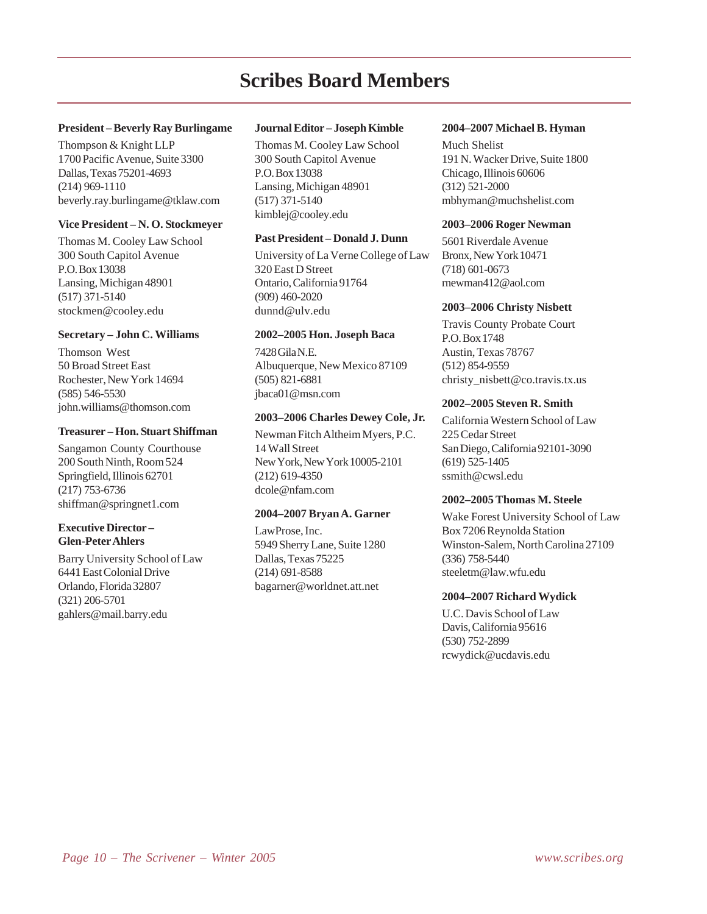# **Scribes Board Members**

#### **President – Beverly Ray Burlingame**

Thompson & Knight LLP 1700 Pacific Avenue, Suite 3300 Dallas, Texas 75201-4693 (214) 969-1110 beverly.ray.burlingame@tklaw.com

#### **Vice President – N. O. Stockmeyer**

Thomas M. Cooley Law School 300 South Capitol Avenue P.O. Box 13038 Lansing, Michigan 48901 (517) 371-5140 stockmen@cooley.edu

#### **Secretary – John C. Williams**

Thomson West 50 Broad Street East Rochester, New York 14694 (585) 546-5530 john.williams@thomson.com

#### **Treasurer – Hon. Stuart Shiffman**

Sangamon County Courthouse 200 South Ninth, Room 524 Springfield, Illinois 62701 (217) 753-6736 shiffman@springnet1.com

#### **Executive Director – Glen-Peter Ahlers**

Barry University School of Law 6441 East Colonial Drive Orlando, Florida 32807 (321) 206-5701 gahlers@mail.barry.edu

#### **Journal Editor – Joseph Kimble**

Thomas M. Cooley Law School 300 South Capitol Avenue P.O. Box 13038 Lansing, Michigan 48901 (517) 371-5140 kimblej@cooley.edu

#### **Past President – Donald J. Dunn**

University of La Verne College of Law 320 East D Street Ontario, California 91764 (909) 460-2020 dunnd@ulv.edu

#### **2002–2005 Hon. Joseph Baca**

7428 Gila N.E. Albuquerque, New Mexico 87109 (505) 821-6881 jbaca01@msn.com

#### **2003–2006 Charles Dewey Cole, Jr.**

Newman Fitch Altheim Myers, P.C. 14 Wall Street New York, New York 10005-2101 (212) 619-4350 dcole@nfam.com

#### **2004–2007 Bryan A. Garner**

LawProse, Inc. 5949 Sherry Lane, Suite 1280 Dallas, Texas 75225 (214) 691-8588 bagarner@worldnet.att.net

#### **2004–2007 Michael B. Hyman**

Much Shelist 191 N. Wacker Drive, Suite 1800 Chicago, Illinois 60606 (312) 521-2000 mbhyman@muchshelist.com

#### **2003–2006 Roger Newman**

5601 Riverdale Avenue Bronx, New York 10471 (718) 601-0673 rnewman412@aol.com

#### **2003–2006 Christy Nisbett**

Travis County Probate Court P.O. Box 1748 Austin, Texas 78767 (512) 854-9559 christy\_nisbett@co.travis.tx.us

#### **2002–2005 Steven R. Smith**

California Western School of Law 225 Cedar Street San Diego, California 92101-3090 (619) 525-1405 ssmith@cwsl.edu

#### **2002–2005 Thomas M. Steele**

Wake Forest University School of Law Box 7206 Reynolda Station Winston-Salem, North Carolina 27109 (336) 758-5440 steeletm@law.wfu.edu

#### **2004–2007 Richard Wydick**

U.C. Davis School of Law Davis, California 95616 (530) 752-2899 rcwydick@ucdavis.edu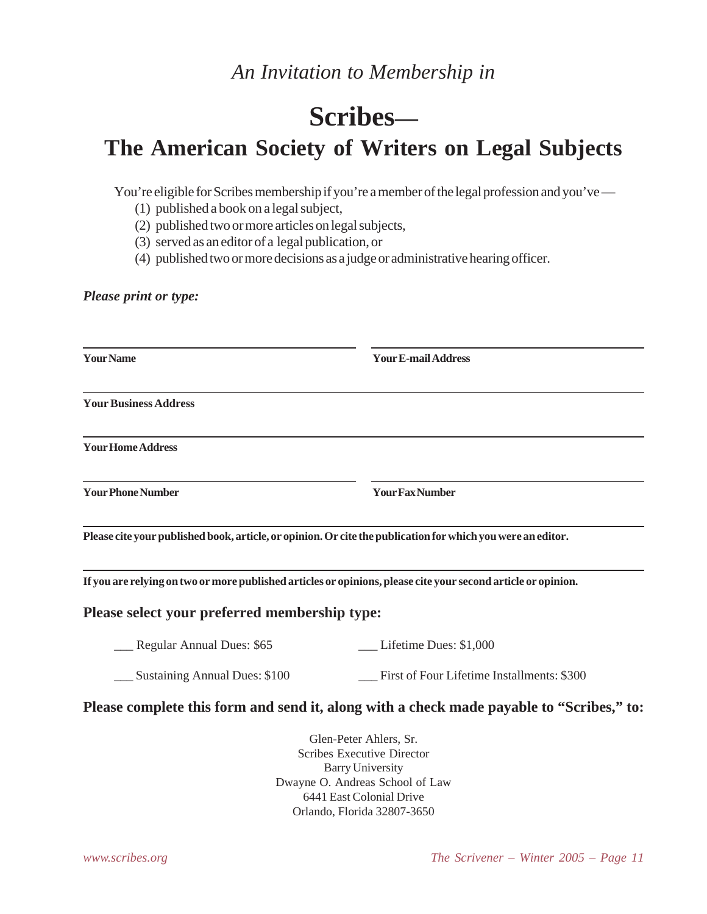# **Scribes—**

# **The American Society of Writers on Legal Subjects**

You're eligible for Scribes membership if you're a member of the legal profession and you've —

- (1) published a book on a legal subject,
- (2) published two or more articles on legal subjects,
- (3) served as an editor of a legal publication, or
- (4) published two or more decisions as a judge or administrative hearing officer.

*Please print or type:*

| <b>Your Name</b>                                                                                              | <b>Your E-mail Address</b>                                                                                                                            |
|---------------------------------------------------------------------------------------------------------------|-------------------------------------------------------------------------------------------------------------------------------------------------------|
| <b>Your Business Address</b>                                                                                  |                                                                                                                                                       |
| <b>Your Home Address</b>                                                                                      |                                                                                                                                                       |
| <b>Your Phone Number</b>                                                                                      | <b>Your Fax Number</b>                                                                                                                                |
| Please cite your published book, article, or opinion. Or cite the publication for which you were an editor.   |                                                                                                                                                       |
| If you are relying on two or more published articles or opinions, please cite your second article or opinion. |                                                                                                                                                       |
| Please select your preferred membership type:                                                                 |                                                                                                                                                       |
| _ Regular Annual Dues: \$65                                                                                   | Lifetime Dues: \$1,000                                                                                                                                |
| Sustaining Annual Dues: \$100                                                                                 | First of Four Lifetime Installments: \$300                                                                                                            |
|                                                                                                               | Please complete this form and send it, along with a check made payable to "Scribes," to:                                                              |
|                                                                                                               | Glen-Peter Ahlers, Sr.<br><b>Scribes Executive Director</b><br><b>Barry University</b><br>Dwayne O. Andreas School of Law<br>6441 East Colonial Drive |

Orlando, Florida 32807-3650